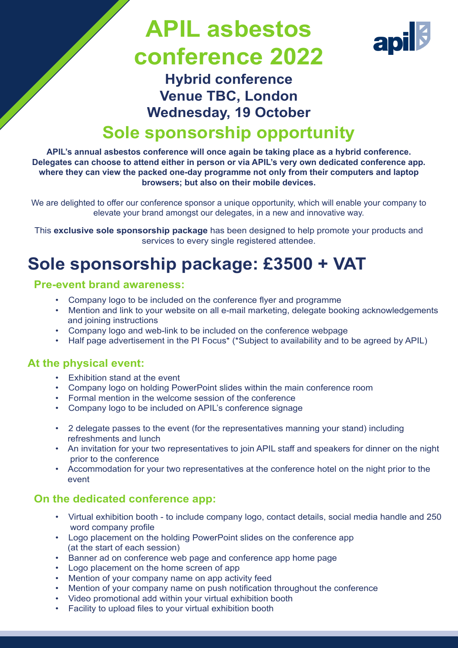# **APIL asbestos conference 2022**



## **Hybrid conference Venue TBC, London Wednesday, 19 October Sole sponsorship opportunity**

**APIL's annual asbestos conference will once again be taking place as a hybrid conference. Delegates can choose to attend either in person or via APIL's very own dedicated conference app. where they can view the packed one-day programme not only from their computers and laptop browsers; but also on their mobile devices.**

We are delighted to offer our conference sponsor a unique opportunity, which will enable your company to elevate your brand amongst our delegates, in a new and innovative way.

This **exclusive sole sponsorship package** has been designed to help promote your products and services to every single registered attendee.

## **Sole sponsorship package: £3500 + VAT**

#### **Pre-event brand awareness:**

- Company logo to be included on the conference flyer and programme
- Mention and link to your website on all e-mail marketing, delegate booking acknowledgements and joining instructions
- Company logo and web-link to be included on the conference webpage
- Half page advertisement in the PI Focus<sup>\*</sup> (\*Subject to availability and to be agreed by APIL)

#### **At the physical event:**

- Exhibition stand at the event
- Company logo on holding PowerPoint slides within the main conference room
- Formal mention in the welcome session of the conference
- Company logo to be included on APIL's conference signage
- 2 delegate passes to the event (for the representatives manning your stand) including refreshments and lunch
- An invitation for your two representatives to join APIL staff and speakers for dinner on the night prior to the conference
- Accommodation for your two representatives at the conference hotel on the night prior to the event

#### **On the dedicated conference app:**

- Virtual exhibition booth to include company logo, contact details, social media handle and 250 word company profile
- Logo placement on the holding PowerPoint slides on the conference app (at the start of each session)
- Banner ad on conference web page and conference app home page
- Logo placement on the home screen of app
- Mention of your company name on app activity feed
- Mention of your company name on push notification throughout the conference
- Video promotional add within your virtual exhibition booth
- Facility to upload files to your virtual exhibition booth